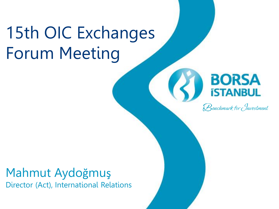## 15th OIC Exchanges Forum Meeting

## **BORSA** *ISTANBUL*

 $\mathcal B$ enchmark for Jnvestment

#### Mahmut Aydoğmuş Director (Act), International Relations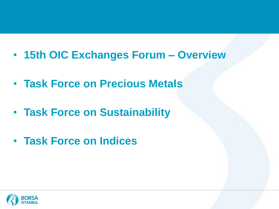- **15th OIC Exchanges Forum – Overview**
- **Task Force on Precious Metals**
- **Task Force on Sustainability**
- **Task Force on Indices**

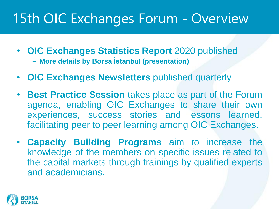## 15th OIC Exchanges Forum - Overview

- **OIC Exchanges Statistics Report** 2020 published – **More details by Borsa İstanbul (presentation)**
- **OIC Exchanges Newsletters** published quarterly
- **Best Practice Session** takes place as part of the Forum agenda, enabling OIC Exchanges to share their own experiences, success stories and lessons learned, facilitating peer to peer learning among OIC Exchanges.
- **Capacity Building Programs** aim to increase the knowledge of the members on specific issues related to the capital markets through trainings by qualified experts and academicians.

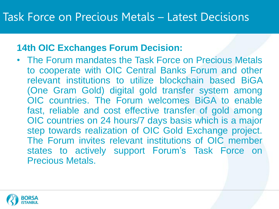#### **14th OIC Exchanges Forum Decision:**

• The Forum mandates the Task Force on Precious Metals to cooperate with OIC Central Banks Forum and other relevant institutions to utilize blockchain based BiGA (One Gram Gold) digital gold transfer system among OIC countries. The Forum welcomes BiGA to enable fast, reliable and cost effective transfer of gold among OIC countries on 24 hours/7 days basis which is a major step towards realization of OIC Gold Exchange project. The Forum invites relevant institutions of OIC member states to actively support Forum's Task Force on Precious Metals.

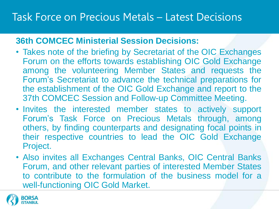#### **36th COMCEC Ministerial Session Decisions:**

- Takes note of the briefing by Secretariat of the OIC Exchanges Forum on the efforts towards establishing OIC Gold Exchange among the volunteering Member States and requests the Forum's Secretariat to advance the technical preparations for the establishment of the OIC Gold Exchange and report to the 37th COMCEC Session and Follow-up Committee Meeting.
- Invites the interested member states to actively support Forum's Task Force on Precious Metals through, among others, by finding counterparts and designating focal points in their respective countries to lead the OIC Gold Exchange Project.
- Also invites all Exchanges Central Banks, OIC Central Banks Forum, and other relevant parties of interested Member States to contribute to the formulation of the business model for a well-functioning OIC Gold Market.

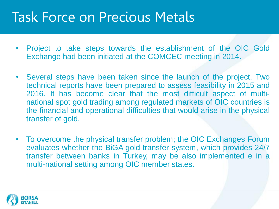## Task Force on Precious Metals

- Project to take steps towards the establishment of the OIC Gold Exchange had been initiated at the COMCEC meeting in 2014.
- Several steps have been taken since the launch of the project. Two technical reports have been prepared to assess feasibility in 2015 and 2016. It has become clear that the most difficult aspect of multinational spot gold trading among regulated markets of OIC countries is the financial and operational difficulties that would arise in the physical transfer of gold.
- To overcome the physical transfer problem; the OIC Exchanges Forum evaluates whether the BiGA gold transfer system, which provides 24/7 transfer between banks in Turkey, may be also implemented e in a multi-national setting among OIC member states.

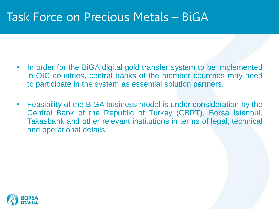### Task Force on Precious Metals – BiGA

- In order for the BiGA digital gold transfer system to be implemented in OIC countries, central banks of the member countries may need to participate in the system as essential solution partners.
- Feasibility of the BIGA business model is under consideration by the Central Bank of the Republic of Turkey (CBRT), Borsa İstanbul, Takasbank and other relevant institutions in terms of legal, technical and operational details.

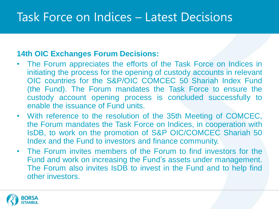## Task Force on Indices – Latest Decisions

#### **14th OIC Exchanges Forum Decisions:**

- The Forum appreciates the efforts of the Task Force on Indices in initiating the process for the opening of custody accounts in relevant OIC countries for the S&P/OIC COMCEC 50 Shariah Index Fund (the Fund). The Forum mandates the Task Force to ensure the custody account opening process is concluded successfully to enable the issuance of Fund units.
- With reference to the resolution of the 35th Meeting of COMCEC, the Forum mandates the Task Force on Indices, in cooperation with IsDB, to work on the promotion of S&P OIC/COMCEC Shariah 50 Index and the Fund to investors and finance community.
- The Forum invites members of the Forum to find investors for the Fund and work on increasing the Fund's assets under management. The Forum also invites IsDB to invest in the Fund and to help find other investors.

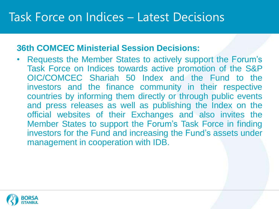## Task Force on Indices – Latest Decisions

#### **36th COMCEC Ministerial Session Decisions:**

• Requests the Member States to actively support the Forum's Task Force on Indices towards active promotion of the S&P OIC/COMCEC Shariah 50 Index and the Fund to the investors and the finance community in their respective countries by informing them directly or through public events and press releases as well as publishing the Index on the official websites of their Exchanges and also invites the Member States to support the Forum's Task Force in finding investors for the Fund and increasing the Fund's assets under management in cooperation with IDB.

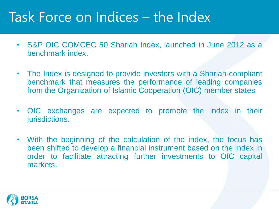## Task Force on Indices – the Index

- S&P OIC COMCEC 50 Shariah Index, launched in June 2012 as a benchmark index.
- The Index is designed to provide investors with a Shariah-compliant benchmark that measures the performance of leading companies from the Organization of Islamic Cooperation (OIC) member states
- OIC exchanges are expected to promote the index in their jurisdictions.
- With the beginning of the calculation of the index, the focus has been shifted to develop a financial instrument based on the index in order to facilitate attracting further investments to OIC capital markets.

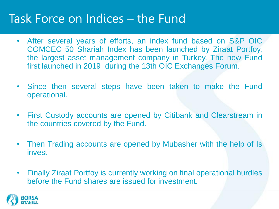## Task Force on Indices – the Fund

- After several years of efforts, an index fund based on S&P OIC COMCEC 50 Shariah Index has been launched by Ziraat Portfoy, the largest asset management company in Turkey. The new Fund first launched in 2019 during the 13th OIC Exchanges Forum.
- Since then several steps have been taken to make the Fund operational.
- First Custody accounts are opened by Citibank and Clearstream in the countries covered by the Fund.
- Then Trading accounts are opened by Mubasher with the help of Is invest
- Finally Ziraat Portfoy is currently working on final operational hurdles before the Fund shares are issued for investment.

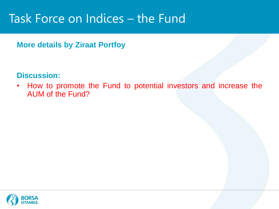## Task Force on Indices – the Fund

#### **More details by Ziraat Portfoy**

#### **Discussion:**

• How to promote the Fund to potential investors and increase the AUM of the Fund?

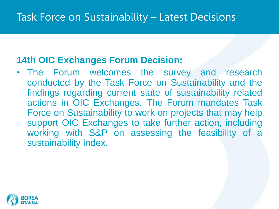#### **14th OIC Exchanges Forum Decision:**

• The Forum welcomes the survey and research conducted by the Task Force on Sustainability and the findings regarding current state of sustainability related actions in OIC Exchanges. The Forum mandates Task Force on Sustainability to work on projects that may help support OIC Exchanges to take further action, including working with S&P on assessing the feasibility of a sustainability index.

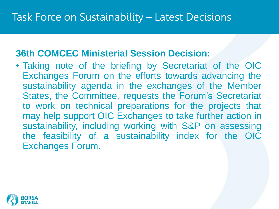#### **36th COMCEC Ministerial Session Decision:**

• Taking note of the briefing by Secretariat of the OIC Exchanges Forum on the efforts towards advancing the sustainability agenda in the exchanges of the Member States, the Committee, requests the Forum's Secretariat to work on technical preparations for the projects that may help support OIC Exchanges to take further action in sustainability, including working with S&P on assessing the feasibility of a sustainability index for the OIC Exchanges Forum.

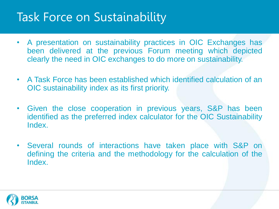## Task Force on Sustainability

- A presentation on sustainability practices in OIC Exchanges has been delivered at the previous Forum meeting which depicted clearly the need in OIC exchanges to do more on sustainability.
- A Task Force has been established which identified calculation of an OIC sustainability index as its first priority.
- Given the close cooperation in previous years, S&P has been identified as the preferred index calculator for the OIC Sustainability Index.
- Several rounds of interactions have taken place with S&P on defining the criteria and the methodology for the calculation of the Index.

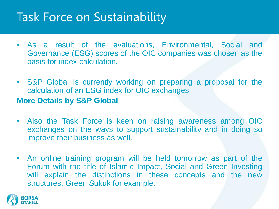## Task Force on Sustainability

- As a result of the evaluations, Environmental, Social and Governance (ESG) scores of the OIC companies was chosen as the basis for index calculation.
- S&P Global is currently working on preparing a proposal for the calculation of an ESG index for OIC exchanges. **More Details by S&P Global**
- Also the Task Force is keen on raising awareness among OIC exchanges on the ways to support sustainability and in doing so improve their business as well.
- An online training program will be held tomorrow as part of the Forum with the title of Islamic Impact, Social and Green Investing will explain the distinctions in these concepts and the new structures. Green Sukuk for example.